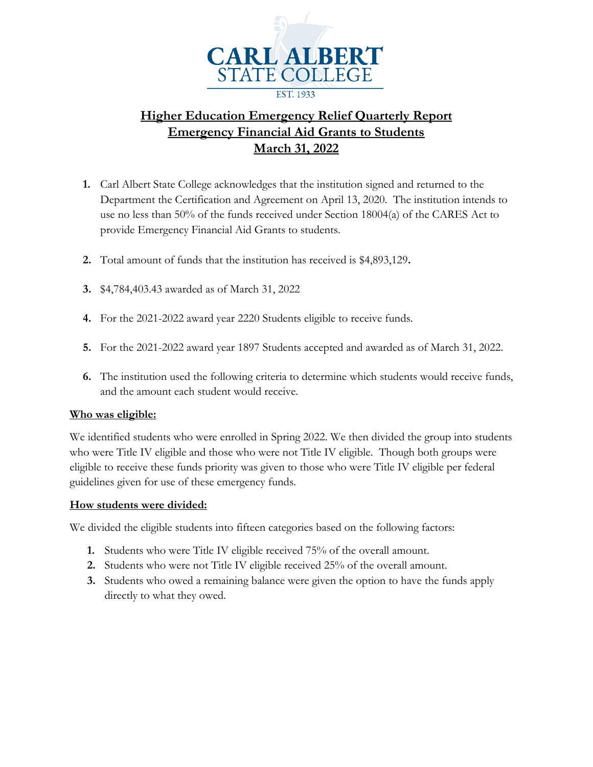

# **Higher Education Emergency Relief Quarterly Report Emergency Financial Aid Grants to Students March 31, 2022**

- **1.** Carl Albert State College acknowledges that the institution signed and returned to the Department the Certification and Agreement on April 13, 2020. The institution intends to use no less than 50% of the funds received under Section 18004(a) of the CARES Act to provide Emergency Financial Aid Grants to students.
- **2.** Total amount of funds that the institution has received is \$4,893,129**.**
- **3.** \$4,784,403.43 awarded as of March 31, 2022
- **4.** For the 2021-2022 award year 2220 Students eligible to receive funds.
- **5.** For the 2021-2022 award year 1897 Students accepted and awarded as of March 31, 2022.
- **6.** The institution used the following criteria to determine which students would receive funds, and the amount each student would receive.

### **Who was eligible:**

We identified students who were enrolled in Spring 2022. We then divided the group into students who were Title IV eligible and those who were not Title IV eligible. Though both groups were eligible to receive these funds priority was given to those who were Title IV eligible per federal guidelines given for use of these emergency funds.

### **How students were divided:**

We divided the eligible students into fifteen categories based on the following factors:

- **1.** Students who were Title IV eligible received 75% of the overall amount.
- **2.** Students who were not Title IV eligible received 25% of the overall amount.
- **3.** Students who owed a remaining balance were given the option to have the funds apply directly to what they owed.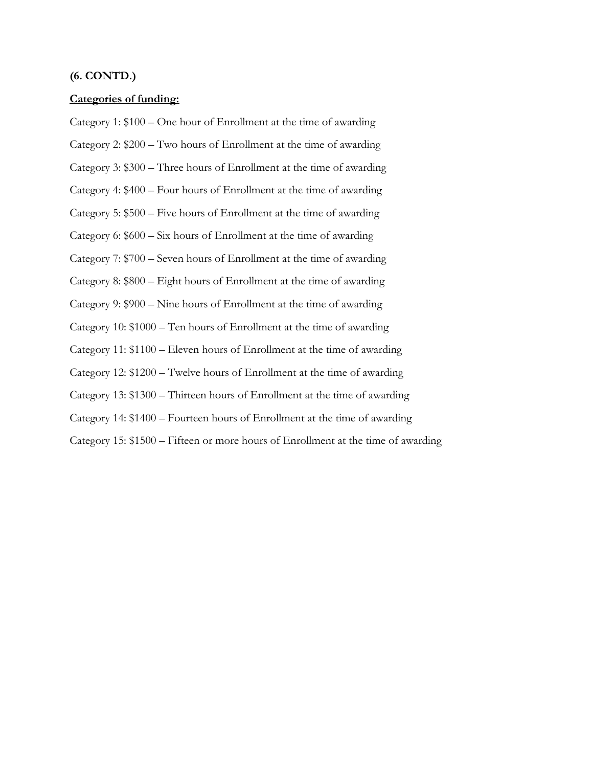#### **(6. CONTD.)**

#### **Categories of funding:**

Category 1: \$100 – One hour of Enrollment at the time of awarding Category 2: \$200 – Two hours of Enrollment at the time of awarding Category 3: \$300 – Three hours of Enrollment at the time of awarding Category 4: \$400 – Four hours of Enrollment at the time of awarding Category 5: \$500 – Five hours of Enrollment at the time of awarding Category 6: \$600 – Six hours of Enrollment at the time of awarding Category 7: \$700 – Seven hours of Enrollment at the time of awarding Category 8: \$800 – Eight hours of Enrollment at the time of awarding Category 9: \$900 – Nine hours of Enrollment at the time of awarding Category 10: \$1000 – Ten hours of Enrollment at the time of awarding Category 11: \$1100 – Eleven hours of Enrollment at the time of awarding Category 12: \$1200 – Twelve hours of Enrollment at the time of awarding Category 13: \$1300 – Thirteen hours of Enrollment at the time of awarding Category 14: \$1400 – Fourteen hours of Enrollment at the time of awarding

Category 15: \$1500 – Fifteen or more hours of Enrollment at the time of awarding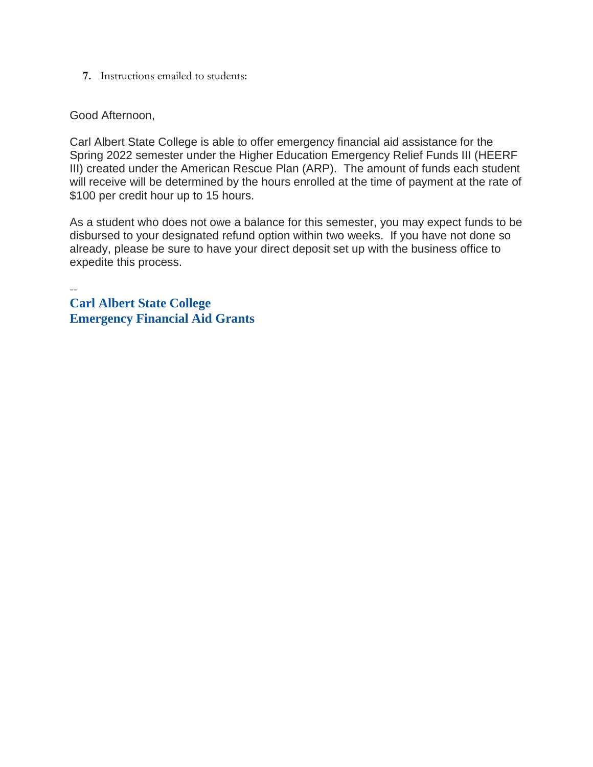**7.** Instructions emailed to students:

Good Afternoon,

Carl Albert State College is able to offer emergency financial aid assistance for the Spring 2022 semester under the Higher Education Emergency Relief Funds III (HEERF III) created under the American Rescue Plan (ARP). The amount of funds each student will receive will be determined by the hours enrolled at the time of payment at the rate of \$100 per credit hour up to 15 hours.

As a student who does not owe a balance for this semester, you may expect funds to be disbursed to your designated refund option within two weeks. If you have not done so already, please be sure to have your direct deposit set up with the business office to expedite this process.

-- **Carl Albert State College Emergency Financial Aid Grants**